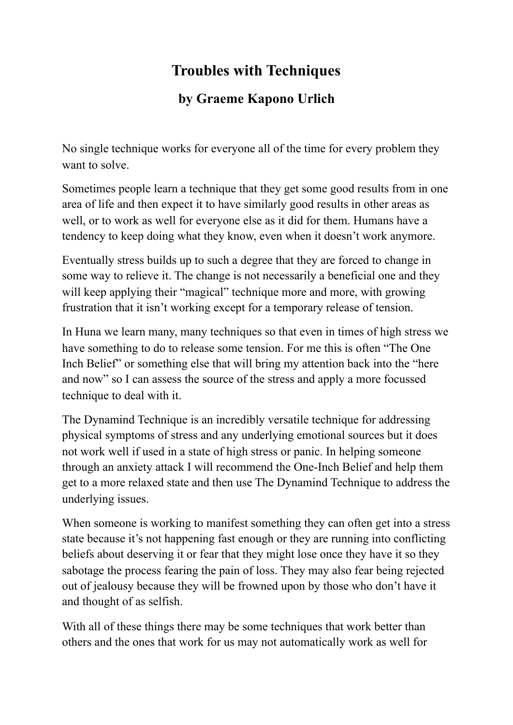## **Troubles with Techniques**

## **by Graeme Kapono Urlich**

No single technique works for everyone all of the time for every problem they want to solve.

Sometimes people learn a technique that they get some good results from in one area of life and then expect it to have similarly good results in other areas as well, or to work as well for everyone else as it did for them. Humans have a tendency to keep doing what they know, even when it doesn't work anymore.

Eventually stress builds up to such a degree that they are forced to change in some way to relieve it. The change is not necessarily a beneficial one and they will keep applying their "magical" technique more and more, with growing frustration that it isn't working except for a temporary release of tension.

In Huna we learn many, many techniques so that even in times of high stress we have something to do to release some tension. For me this is often "The One Inch Belief" or something else that will bring my attention back into the "here and now" so I can assess the source of the stress and apply a more focussed technique to deal with it.

The Dynamind Technique is an incredibly versatile technique for addressing physical symptoms of stress and any underlying emotional sources but it does not work well if used in a state of high stress or panic. In helping someone through an anxiety attack I will recommend the One-Inch Belief and help them get to a more relaxed state and then use The Dynamind Technique to address the underlying issues.

When someone is working to manifest something they can often get into a stress state because it's not happening fast enough or they are running into conflicting beliefs about deserving it or fear that they might lose once they have it so they sabotage the process fearing the pain of loss. They may also fear being rejected out of jealousy because they will be frowned upon by those who don't have it and thought of as selfish.

With all of these things there may be some techniques that work better than others and the ones that work for us may not automatically work as well for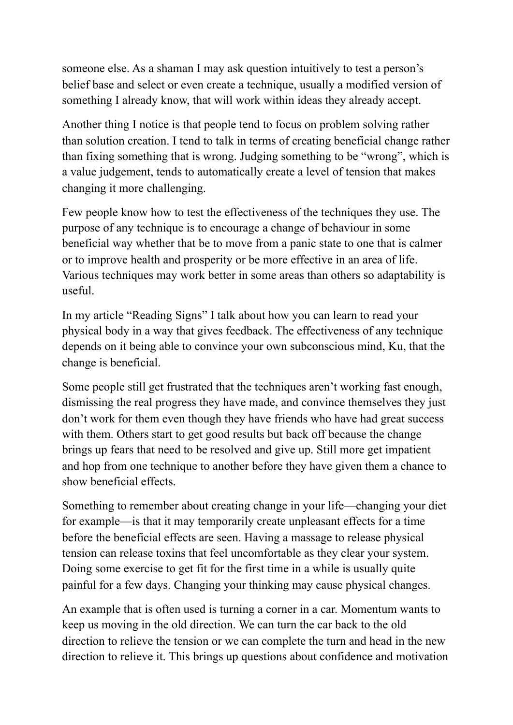someone else. As a shaman I may ask question intuitively to test a person's belief base and select or even create a technique, usually a modified version of something I already know, that will work within ideas they already accept.

Another thing I notice is that people tend to focus on problem solving rather than solution creation. I tend to talk in terms of creating beneficial change rather than fixing something that is wrong. Judging something to be "wrong", which is a value judgement, tends to automatically create a level of tension that makes changing it more challenging.

Few people know how to test the effectiveness of the techniques they use. The purpose of any technique is to encourage a change of behaviour in some beneficial way whether that be to move from a panic state to one that is calmer or to improve health and prosperity or be more effective in an area of life. Various techniques may work better in some areas than others so adaptability is useful.

In my article "Reading Signs" I talk about how you can learn to read your physical body in a way that gives feedback. The effectiveness of any technique depends on it being able to convince your own subconscious mind, Ku, that the change is beneficial.

Some people still get frustrated that the techniques aren't working fast enough, dismissing the real progress they have made, and convince themselves they just don't work for them even though they have friends who have had great success with them. Others start to get good results but back off because the change brings up fears that need to be resolved and give up. Still more get impatient and hop from one technique to another before they have given them a chance to show beneficial effects.

Something to remember about creating change in your life—changing your diet for example—is that it may temporarily create unpleasant effects for a time before the beneficial effects are seen. Having a massage to release physical tension can release toxins that feel uncomfortable as they clear your system. Doing some exercise to get fit for the first time in a while is usually quite painful for a few days. Changing your thinking may cause physical changes.

An example that is often used is turning a corner in a car. Momentum wants to keep us moving in the old direction. We can turn the car back to the old direction to relieve the tension or we can complete the turn and head in the new direction to relieve it. This brings up questions about confidence and motivation